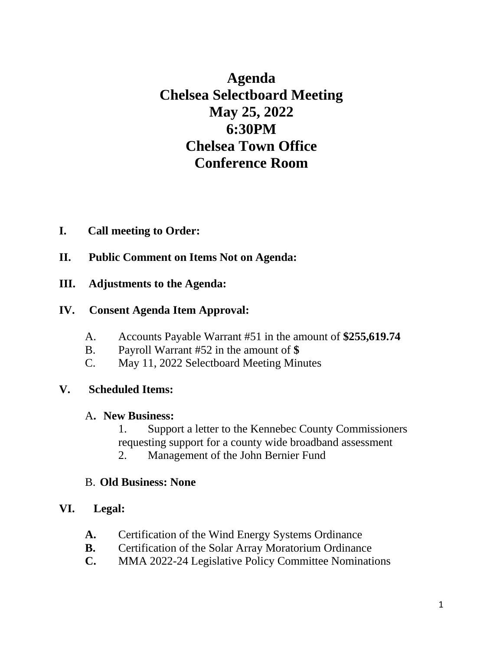**Agenda Chelsea Selectboard Meeting May 25, 2022 6:30PM Chelsea Town Office Conference Room**

### **I. Call meeting to Order:**

- **II. Public Comment on Items Not on Agenda:**
- **III. Adjustments to the Agenda:**

#### **IV. Consent Agenda Item Approval:**

- A. Accounts Payable Warrant #51 in the amount of **\$255,619.74**
- B. Payroll Warrant #52 in the amount of **\$**
- C. May 11, 2022 Selectboard Meeting Minutes

### **V. Scheduled Items:**

#### A**. New Business:**

- 1. Support a letter to the Kennebec County Commissioners requesting support for a county wide broadband assessment
- 2. Management of the John Bernier Fund

#### B. **Old Business: None**

### **VI. Legal:**

- **A.** Certification of the Wind Energy Systems Ordinance
- **B.** Certification of the Solar Array Moratorium Ordinance
- **C.** MMA 2022-24 Legislative Policy Committee Nominations